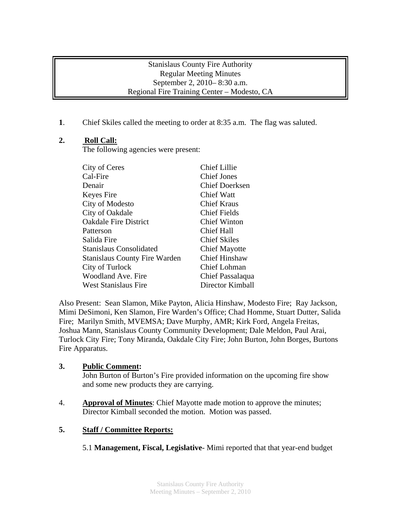#### Stanislaus County Fire Authority Regular Meeting Minutes September 2, 2010– 8:30 a.m. Regional Fire Training Center – Modesto, CA

**1**. Chief Skiles called the meeting to order at 8:35 a.m. The flag was saluted.

# **2. Roll Call:**

The following agencies were present:

| City of Ceres                        | <b>Chief Lillie</b>   |
|--------------------------------------|-----------------------|
| Cal-Fire                             | <b>Chief Jones</b>    |
| Denair                               | <b>Chief Doerksen</b> |
| Keyes Fire                           | Chief Watt            |
| City of Modesto                      | <b>Chief Kraus</b>    |
| City of Oakdale                      | <b>Chief Fields</b>   |
| <b>Oakdale Fire District</b>         | <b>Chief Winton</b>   |
| Patterson                            | Chief Hall            |
| Salida Fire                          | <b>Chief Skiles</b>   |
| <b>Stanislaus Consolidated</b>       | <b>Chief Mayotte</b>  |
| <b>Stanislaus County Fire Warden</b> | <b>Chief Hinshaw</b>  |
| City of Turlock                      | Chief Lohman          |
| <b>Woodland Ave. Fire</b>            | Chief Passalaqua      |
| <b>West Stanislaus Fire</b>          | Director Kimball      |

Also Present: Sean Slamon, Mike Payton, Alicia Hinshaw, Modesto Fire; Ray Jackson, Mimi DeSimoni, Ken Slamon, Fire Warden's Office; Chad Homme, Stuart Dutter, Salida Fire; Marilyn Smith, MVEMSA; Dave Murphy, AMR; Kirk Ford, Angela Freitas, Joshua Mann, Stanislaus County Community Development; Dale Meldon, Paul Arai, Turlock City Fire; Tony Miranda, Oakdale City Fire; John Burton, John Borges, Burtons Fire Apparatus.

# **3. Public Comment:**

John Burton of Burton's Fire provided information on the upcoming fire show and some new products they are carrying.

4. **Approval of Minutes**: Chief Mayotte made motion to approve the minutes; Director Kimball seconded the motion. Motion was passed.

# **5. Staff / Committee Reports:**

5.1 **Management, Fiscal, Legislative**- Mimi reported that that year-end budget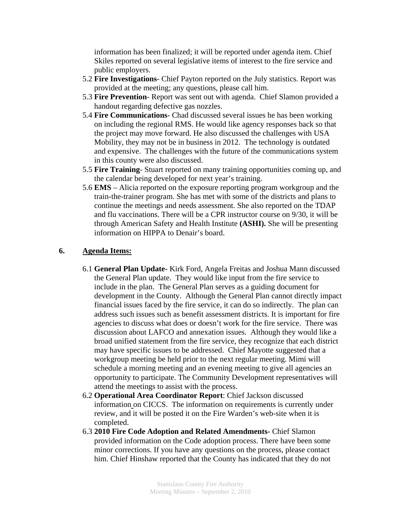information has been finalized; it will be reported under agenda item. Chief Skiles reported on several legislative items of interest to the fire service and public employers.

- 5.2 **Fire Investigations** Chief Payton reported on the July statistics. Report was provided at the meeting; any questions, please call him.
- 5.3 **Fire Prevention** Report was sent out with agenda. Chief Slamon provided a handout regarding defective gas nozzles.
- 5.4 **Fire Communications** Chad discussed several issues he has been working on including the regional RMS. He would like agency responses back so that the project may move forward. He also discussed the challenges with USA Mobility, they may not be in business in 2012. The technology is outdated and expensive. The challenges with the future of the communications system in this county were also discussed.
- 5.5 **Fire Training** Stuart reported on many training opportunities coming up, and the calendar being developed for next year's training.
- 5.6 **EMS**  Alicia reported on the exposure reporting program workgroup and the train-the-trainer program. She has met with some of the districts and plans to continue the meetings and needs assessment. She also reported on the TDAP and flu vaccinations. There will be a CPR instructor course on 9/30, it will be through American Safety and Health Institute **(ASHI).** She will be presenting information on HIPPA to Denair's board.

#### **6. Agenda Items:**

- 6.1 **General Plan Update-** Kirk Ford, Angela Freitas and Joshua Mann discussed the General Plan update. They would like input from the fire service to include in the plan. The General Plan serves as a guiding document for development in the County. Although the General Plan cannot directly impact financial issues faced by the fire service, it can do so indirectly. The plan can address such issues such as benefit assessment districts. It is important for fire agencies to discuss what does or doesn't work for the fire service. There was discussion about LAFCO and annexation issues. Although they would like a broad unified statement from the fire service, they recognize that each district may have specific issues to be addressed. Chief Mayotte suggested that a workgroup meeting be held prior to the next regular meeting. Mimi will schedule a morning meeting and an evening meeting to give all agencies an opportunity to participate. The Community Development representatives will attend the meetings to assist with the process.
- 6.2 **Operational Area Coordinator Report**: Chief Jackson discussed information on CICCS. The information on requirements is currently under review, and it will be posted it on the Fire Warden's web-site when it is completed.
- 6.3 **2010 Fire Code Adoption and Related Amendments-** Chief Slamon provided information on the Code adoption process. There have been some minor corrections. If you have any questions on the process, please contact him. Chief Hinshaw reported that the County has indicated that they do not